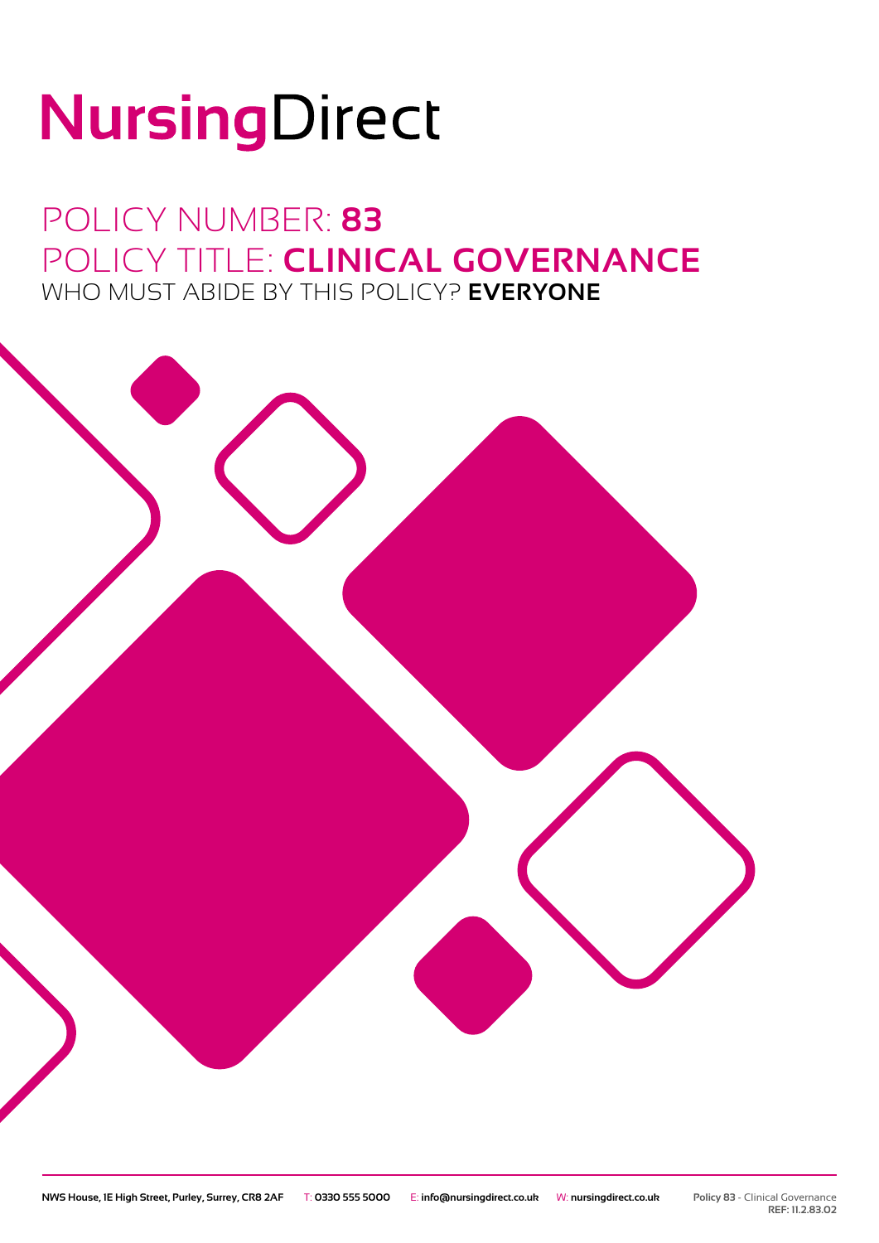# NursingDirect

## POLICY NUMBER: **83** POLICY TITLE: **CLINICAL GOVERNANCE** WHO MUST ABIDE BY THIS POLICY? **EVERYONE**

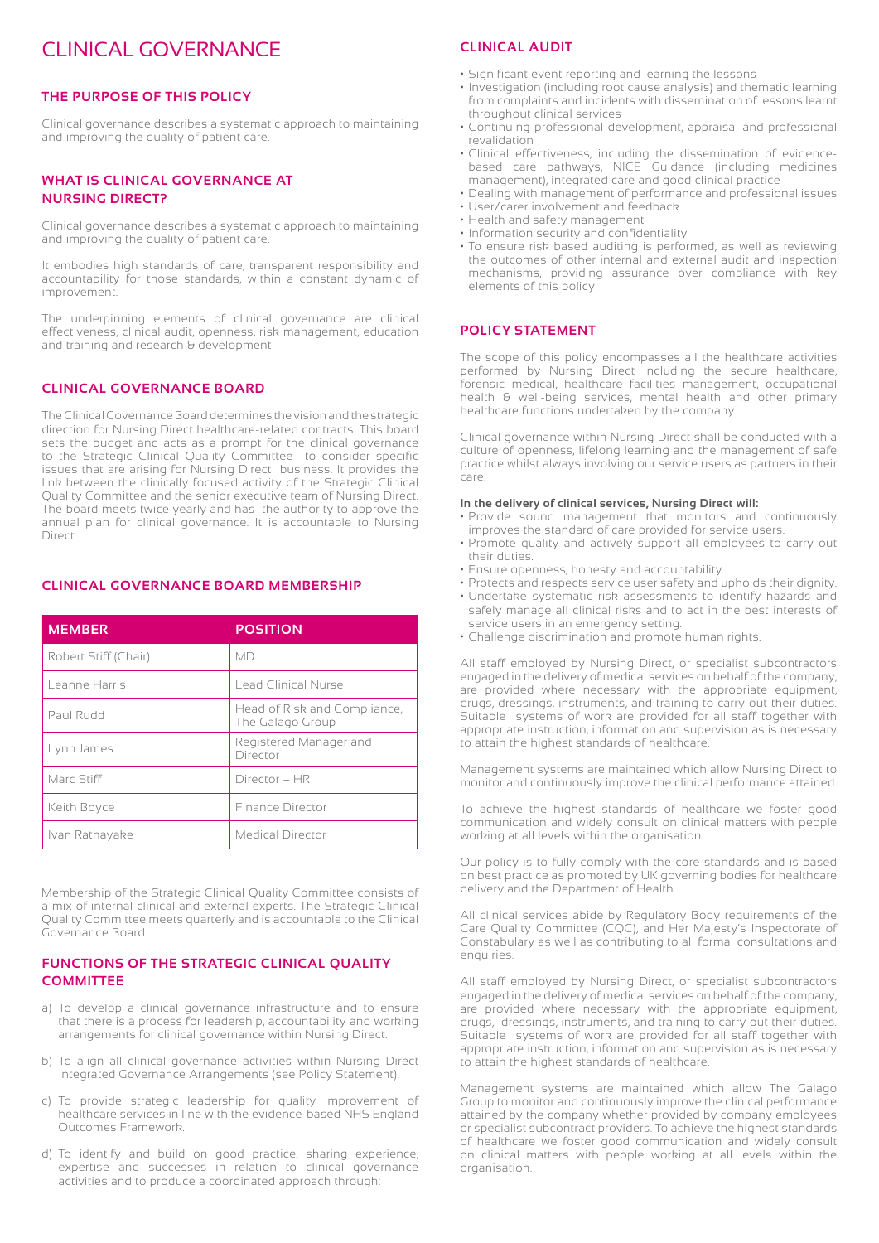### CLINICAL GOVERNANCE

#### **THE PURPOSE OF THIS POLICY**

Clinical governance describes a systematic approach to maintaining and improving the quality of patient care.

#### **WHAT IS CLINICAL GOVERNANCE AT NURSING DIRECT?**

Clinical governance describes a systematic approach to maintaining and improving the quality of patient care.

It embodies high standards of care, transparent responsibility and accountability for those standards, within a constant dynamic of improvement.

The underpinning elements of clinical governance are clinical effectiveness, clinical audit, openness, risk management, education and training and research & development

#### **CLINICAL GOVERNANCE BOARD**

The Clinical Governance Board determines the vision and the strategic direction for Nursing Direct healthcare-related contracts. This board sets the budget and acts as a prompt for the clinical governance to the Strategic Clinical Quality Committee to consider specific issues that are arising for Nursing Direct business. It provides the link between the clinically focused activity of the Strategic Clinical Quality Committee and the senior executive team of Nursing Direct. The board meets twice yearly and has the authority to approve the annual plan for clinical governance. It is accountable to Nursing Direct.

#### **CLINICAL GOVERNANCE BOARD MEMBERSHIP**

| <b>MEMBER</b>        | <b>POSITION</b>                                  |
|----------------------|--------------------------------------------------|
| Robert Stiff (Chair) | МD                                               |
| Leanne Harris        | Lead Clinical Nurse                              |
| Paul Rudd            | Head of Risk and Compliance,<br>The Galago Group |
| Lynn James           | Registered Manager and<br>Director               |
| Marc Stiff           | Director - HR                                    |
| Keith Boyce          | <b>Finance Director</b>                          |
| Ivan Ratnayake       | Medical Director                                 |

Membership of the Strategic Clinical Quality Committee consists of a mix of internal clinical and external experts. The Strategic Clinical Quality Committee meets quarterly and is accountable to the Clinical Governance Board.

#### **FUNCTIONS OF THE STRATEGIC CLINICAL QUALITY COMMITTEE**

- a) To develop a clinical governance infrastructure and to ensure that there is a process for leadership, accountability and working arrangements for clinical governance within Nursing Direct.
- b) To align all clinical governance activities within Nursing Direct Integrated Governance Arrangements (see Policy Statement).
- c) To provide strategic leadership for quality improvement of healthcare services in line with the evidence-based NHS England Outcomes Framework.
- d) To identify and build on good practice, sharing experience, expertise and successes in relation to clinical governance activities and to produce a coordinated approach through:

#### **CLINICAL AUDIT**

- Significant event reporting and learning the lessons
- Investigation (including root cause analysis) and thematic learning from complaints and incidents with dissemination of lessons learnt throughout clinical services
- Continuing professional development, appraisal and professional revalidation
- Clinical effectiveness, including the dissemination of evidencebased care pathways, NICE Guidance (including medicines management), integrated care and good clinical practice
- Dealing with management of performance and professional issues • User/carer involvement and feedback
- Health and safety management
- Information security and confidentiality
- To ensure risk based auditing is performed, as well as reviewing the outcomes of other internal and external audit and inspection mechanisms, providing assurance over compliance with key elements of this policy.

#### **POLICY STATEMENT**

The scope of this policy encompasses all the healthcare activities performed by Nursing Direct including the secure healthcare, forensic medical, healthcare facilities management, occupational health & well-being services, mental health and other primary healthcare functions undertaken by the company.

Clinical governance within Nursing Direct shall be conducted with a culture of openness, lifelong learning and the management of safe practice whilst always involving our service users as partners in their care.

#### **In the delivery of clinical services, Nursing Direct will:**

- Provide sound management that monitors and continuously improves the standard of care provided for service users.
- Promote quality and actively support all employees to carry out their duties.
- Ensure openness, honesty and accountability.
- Protects and respects service user safety and upholds their dignity.
- Undertake systematic risk assessments to identify hazards and safely manage all clinical risks and to act in the best interests of service users in an emergency setting.
- Challenge discrimination and promote human rights.

All staff employed by Nursing Direct, or specialist subcontractors engaged in the delivery of medical services on behalf of the company, are provided where necessary with the appropriate equipment, drugs, dressings, instruments, and training to carry out their duties. Suitable systems of work are provided for all staff together with appropriate instruction, information and supervision as is necessary to attain the highest standards of healthcare.

Management systems are maintained which allow Nursing Direct to monitor and continuously improve the clinical performance attained.

To achieve the highest standards of healthcare we foster good communication and widely consult on clinical matters with people working at all levels within the organisation.

Our policy is to fully comply with the core standards and is based on best practice as promoted by UK governing bodies for healthcare delivery and the Department of Health.

All clinical services abide by Regulatory Body requirements of the Care Quality Committee (CQC), and Her Majesty's Inspectorate of Constabulary as well as contributing to all formal consultations and enquiries.

All staff employed by Nursing Direct, or specialist subcontractors engaged in the delivery of medical services on behalf of the company, are provided where necessary with the appropriate equipment, drugs, dressings, instruments, and training to carry out their duties. Suitable systems of work are provided for all staff together with appropriate instruction, information and supervision as is necessary to attain the highest standards of healthcare.

Management systems are maintained which allow The Galago Group to monitor and continuously improve the clinical performance attained by the company whether provided by company employees or specialist subcontract providers. To achieve the highest standards of healthcare we foster good communication and widely consult on clinical matters with people working at all levels within the organisation.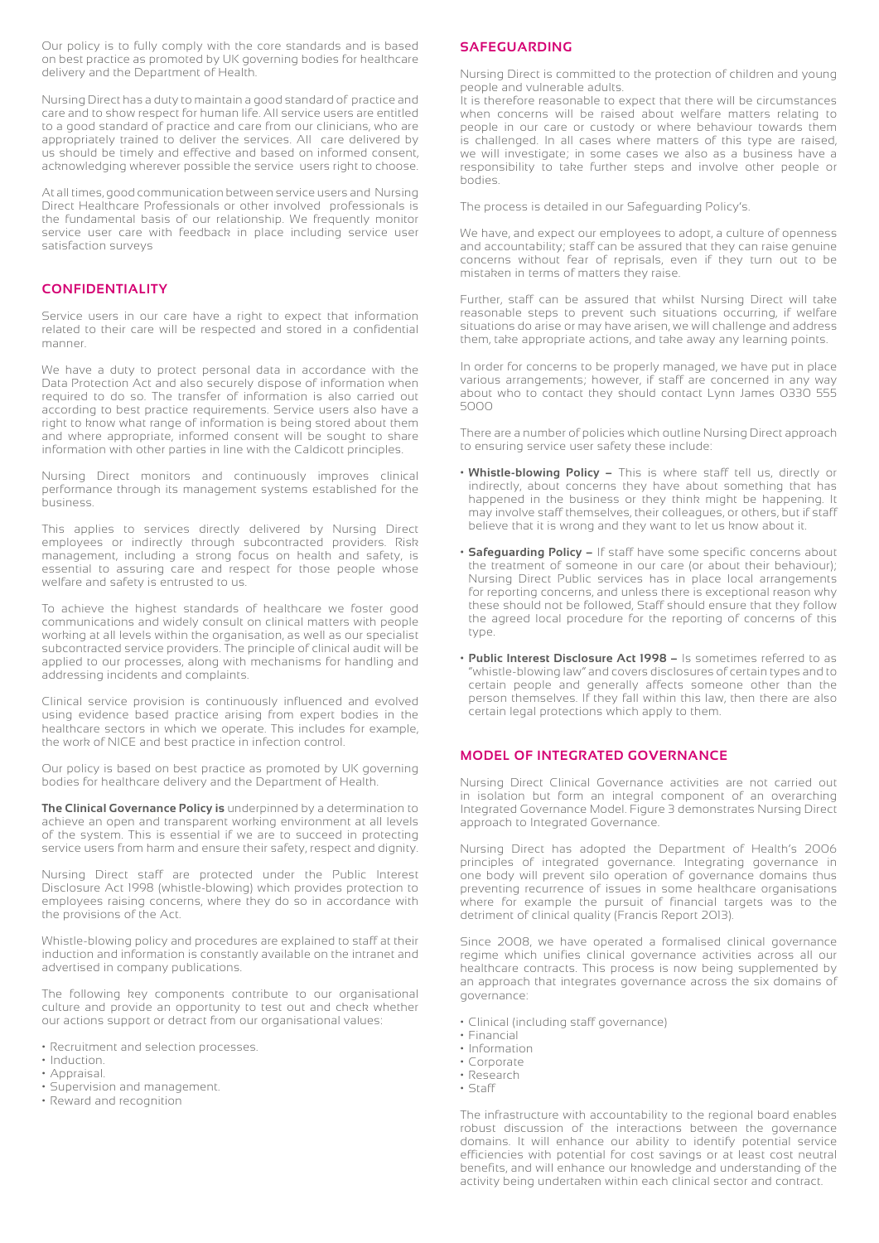Our policy is to fully comply with the core standards and is based on best practice as promoted by UK governing bodies for healthcare delivery and the Department of Health.

Nursing Direct has a duty to maintain a good standard of practice and care and to show respect for human life. All service users are entitled to a good standard of practice and care from our clinicians, who are appropriately trained to deliver the services. All care delivered by us should be timely and effective and based on informed consent, acknowledging wherever possible the service users right to choose.

At all times, good communication between service users and Nursing Direct Healthcare Professionals or other involved professionals is the fundamental basis of our relationship. We frequently monitor service user care with feedback in place including service user satisfaction surveys

#### **CONFIDENTIALITY**

Service users in our care have a right to expect that information related to their care will be respected and stored in a confidential manner.

We have a duty to protect personal data in accordance with the Data Protection Act and also securely dispose of information when required to do so. The transfer of information is also carried out according to best practice requirements. Service users also have a right to know what range of information is being stored about them and where appropriate, informed consent will be sought to share information with other parties in line with the Caldicott principles.

Nursing Direct monitors and continuously improves clinical performance through its management systems established for the business.

This applies to services directly delivered by Nursing Direct employees or indirectly through subcontracted providers. Risk management, including a strong focus on health and safety, is essential to assuring care and respect for those people whose welfare and safety is entrusted to us.

To achieve the highest standards of healthcare we foster good communications and widely consult on clinical matters with people working at all levels within the organisation, as well as our specialist subcontracted service providers. The principle of clinical audit will be applied to our processes, along with mechanisms for handling and addressing incidents and complaints.

Clinical service provision is continuously influenced and evolved using evidence based practice arising from expert bodies in the healthcare sectors in which we operate. This includes for example, the work of NICE and best practice in infection control.

Our policy is based on best practice as promoted by UK governing bodies for healthcare delivery and the Department of Health.

**The Clinical Governance Policy is** underpinned by a determination to achieve an open and transparent working environment at all levels of the system. This is essential if we are to succeed in protecting service users from harm and ensure their safety, respect and dignity.

Nursing Direct staff are protected under the Public Interest Disclosure Act 1998 (whistle-blowing) which provides protection to employees raising concerns, where they do so in accordance with the provisions of the Act.

Whistle-blowing policy and procedures are explained to staff at their induction and information is constantly available on the intranet and advertised in company publications.

The following key components contribute to our organisational culture and provide an opportunity to test out and check whether our actions support or detract from our organisational values:

- Recruitment and selection processes.
- Induction.
- Appraisal.
- Supervision and management.
- Reward and recognition

#### **SAFEGUARDING**

Nursing Direct is committed to the protection of children and young people and vulnerable adults.

It is therefore reasonable to expect that there will be circumstances when concerns will be raised about welfare matters relating to people in our care or custody or where behaviour towards them is challenged. In all cases where matters of this type are raised, we will investigate; in some cases we also as a business have a responsibility to take further steps and involve other people or bodies.

The process is detailed in our Safeguarding Policy's.

We have, and expect our employees to adopt, a culture of openness and accountability; staff can be assured that they can raise genuine concerns without fear of reprisals, even if they turn out to be mistaken in terms of matters they raise.

Further, staff can be assured that whilst Nursing Direct will take reasonable steps to prevent such situations occurring, if welfare situations do arise or may have arisen, we will challenge and address them, take appropriate actions, and take away any learning points.

In order for concerns to be properly managed, we have put in place various arrangements; however, if staff are concerned in any way about who to contact they should contact Lynn James 0330 555 5000

There are a number of policies which outline Nursing Direct approach to ensuring service user safety these include:

- **• Whistle-blowing Policy –** This is where staff tell us, directly or indirectly, about concerns they have about something that has happened in the business or they think might be happening. It may involve staff themselves, their colleagues, or others, but if staff believe that it is wrong and they want to let us know about it.
- **• Safeguarding Policy –** If staff have some specific concerns about the treatment of someone in our care (or about their behaviour); Nursing Direct Public services has in place local arrangements for reporting concerns, and unless there is exceptional reason why these should not be followed, Staff should ensure that they follow the agreed local procedure for the reporting of concerns of this type.
- **• Public Interest Disclosure Act 1998 –** Is sometimes referred to as "whistle-blowing law" and covers disclosures of certain types and to certain people and generally affects someone other than the person themselves. If they fall within this law, then there are also certain legal protections which apply to them.

#### **MODEL OF INTEGRATED GOVERNANCE**

Nursing Direct Clinical Governance activities are not carried out in isolation but form an integral component of an overarching Integrated Governance Model. Figure 3 demonstrates Nursing Direct approach to Integrated Governance.

Nursing Direct has adopted the Department of Health's 2006 principles of integrated governance. Integrating governance in one body will prevent silo operation of governance domains thus preventing recurrence of issues in some healthcare organisations where for example the pursuit of financial targets was to the detriment of clinical quality (Francis Report 2013).

Since 2008, we have operated a formalised clinical governance regime which unifies clinical governance activities across all our healthcare contracts. This process is now being supplemented by an approach that integrates governance across the six domains of governance:

- Clinical (including staff governance)
- Financial
- Information
- Corporate
- Research
- Staff

The infrastructure with accountability to the regional board enables robust discussion of the interactions between the governance domains. It will enhance our ability to identify potential service efficiencies with potential for cost savings or at least cost neutral benefits, and will enhance our knowledge and understanding of the activity being undertaken within each clinical sector and contract.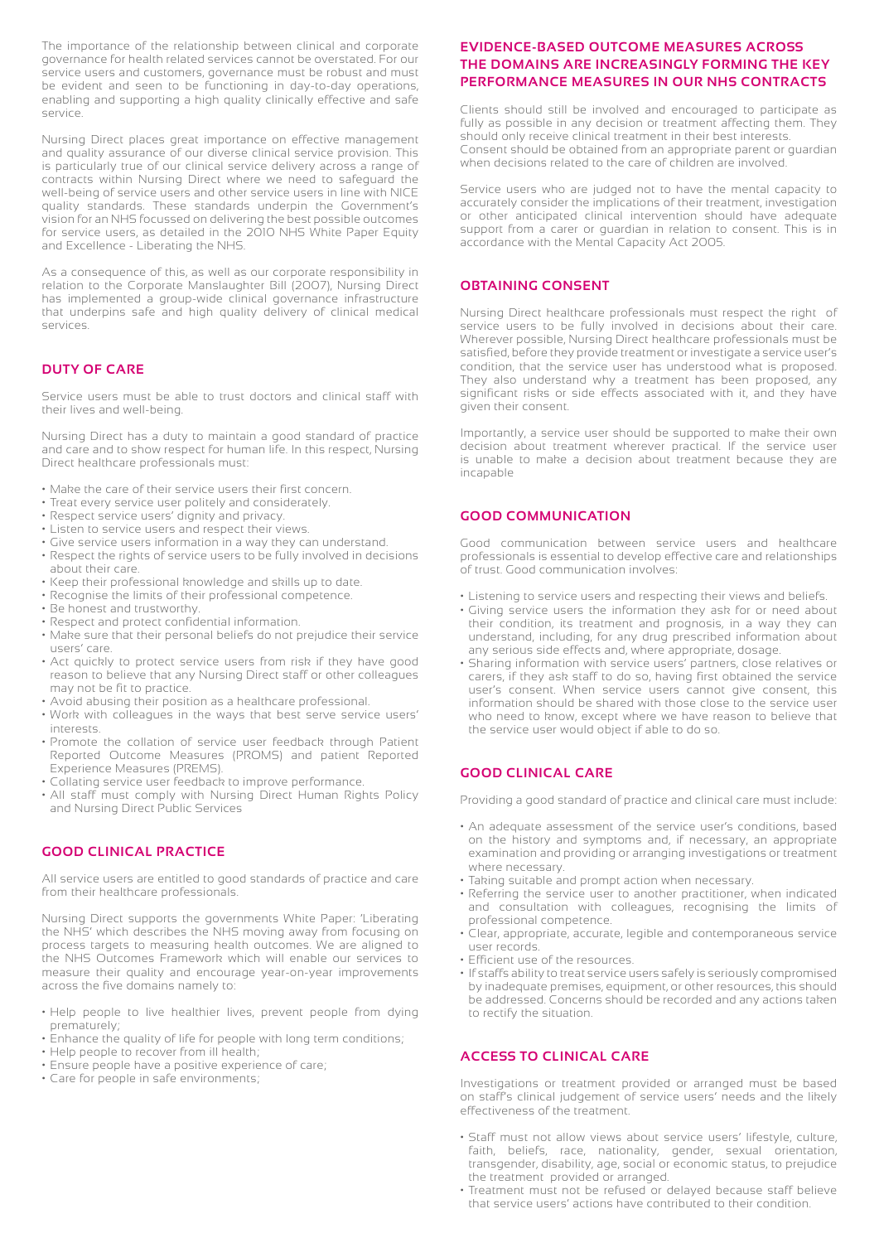The importance of the relationship between clinical and corporate governance for health related services cannot be overstated. For our service users and customers, governance must be robust and must be evident and seen to be functioning in day-to-day operations, enabling and supporting a high quality clinically effective and safe service.

Nursing Direct places great importance on effective management and quality assurance of our diverse clinical service provision. This is particularly true of our clinical service delivery across a range of contracts within Nursing Direct where we need to safeguard the well-being of service users and other service users in line with NICE quality standards. These standards underpin the Government's vision for an NHS focussed on delivering the best possible outcomes for service users, as detailed in the 2010 NHS White Paper Equity and Excellence - Liberating the NHS.

As a consequence of this, as well as our corporate responsibility in relation to the Corporate Manslaughter Bill (2007), Nursing Direct has implemented a group-wide clinical governance infrastructure that underpins safe and high quality delivery of clinical medical services.

#### **DUTY OF CARE**

Service users must be able to trust doctors and clinical staff with their lives and well-being.

Nursing Direct has a duty to maintain a good standard of practice and care and to show respect for human life. In this respect, Nursing Direct healthcare professionals must:

- Make the care of their service users their first concern.
- Treat every service user politely and considerately.
- Respect service users' dignity and privacy.
- Listen to service users and respect their views.
- Give service users information in a way they can understand.
- Respect the rights of service users to be fully involved in decisions about their care.
- Keep their professional knowledge and skills up to date.
- Recognise the limits of their professional competence.
- Be honest and trustworthy.
- Respect and protect confidential information.
- Make sure that their personal beliefs do not prejudice their service users' care.
- Act quickly to protect service users from risk if they have good reason to believe that any Nursing Direct staff or other colleagues may not be fit to practice.
- Avoid abusing their position as a healthcare professional.
- Work with colleagues in the ways that best serve service users' interests.
- Promote the collation of service user feedback through Patient Reported Outcome Measures (PROMS) and patient Reported Experience Measures (PREMS).
- Collating service user feedback to improve performance.
- All staff must comply with Nursing Direct Human Rights Policy and Nursing Direct Public Services

#### **GOOD CLINICAL PRACTICE**

All service users are entitled to good standards of practice and care from their healthcare professionals.

Nursing Direct supports the governments White Paper: 'Liberating the NHS' which describes the NHS moving away from focusing on process targets to measuring health outcomes. We are aligned to the NHS Outcomes Framework which will enable our services to measure their quality and encourage year-on-year improvements across the five domains namely to:

- Help people to live healthier lives, prevent people from dying prematurely;
- Enhance the quality of life for people with long term conditions;
- Help people to recover from ill health;
- Ensure people have a positive experience of care;
- Care for people in safe environments;

#### **EVIDENCE-BASED OUTCOME MEASURES ACROSS THE DOMAINS ARE INCREASINGLY FORMING THE KEY PERFORMANCE MEASURES IN OUR NHS CONTRACTS**

Clients should still be involved and encouraged to participate as fully as possible in any decision or treatment affecting them. They should only receive clinical treatment in their best interests. Consent should be obtained from an appropriate parent or guardian when decisions related to the care of children are involved.

Service users who are judged not to have the mental capacity to accurately consider the implications of their treatment, investigation or other anticipated clinical intervention should have adequate support from a carer or guardian in relation to consent. This is in accordance with the Mental Capacity Act 2005.

#### **OBTAINING CONSENT**

Nursing Direct healthcare professionals must respect the right of service users to be fully involved in decisions about their care. Wherever possible, Nursing Direct healthcare professionals must be satisfied, before they provide treatment or investigate a service user's condition, that the service user has understood what is proposed. They also understand why a treatment has been proposed, any significant risks or side effects associated with it, and they have given their consent.

Importantly, a service user should be supported to make their own decision about treatment wherever practical. If the service user is unable to make a decision about treatment because they are incapable

#### **GOOD COMMUNICATION**

Good communication between service users and healthcare professionals is essential to develop effective care and relationships of trust. Good communication involves:

- Listening to service users and respecting their views and beliefs.
- Giving service users the information they ask for or need about their condition, its treatment and prognosis, in a way they can understand, including, for any drug prescribed information about any serious side effects and, where appropriate, dosage.
- Sharing information with service users' partners, close relatives or carers, if they ask staff to do so, having first obtained the service user's consent. When service users cannot give consent, this information should be shared with those close to the service user who need to know, except where we have reason to believe that the service user would object if able to do so.

#### **GOOD CLINICAL CARE**

Providing a good standard of practice and clinical care must include:

- An adequate assessment of the service user's conditions, based on the history and symptoms and, if necessary, an appropriate examination and providing or arranging investigations or treatment where necessary.
- Taking suitable and prompt action when necessary.
- Referring the service user to another practitioner, when indicated and consultation with colleagues, recognising the limits of professional competence.
- Clear, appropriate, accurate, legible and contemporaneous service user records.
- Efficient use of the resources.
- If staffs ability to treat service users safely is seriously compromised by inadequate premises, equipment, or other resources, this should be addressed. Concerns should be recorded and any actions taken to rectify the situation.

#### **ACCESS TO CLINICAL CARE**

Investigations or treatment provided or arranged must be based on staff's clinical judgement of service users' needs and the likely effectiveness of the treatment.

- Staff must not allow views about service users' lifestyle, culture, faith, beliefs, race, nationality, gender, sexual orientation, transgender, disability, age, social or economic status, to prejudice the treatment provided or arranged.
- Treatment must not be refused or delayed because staff believe that service users' actions have contributed to their condition.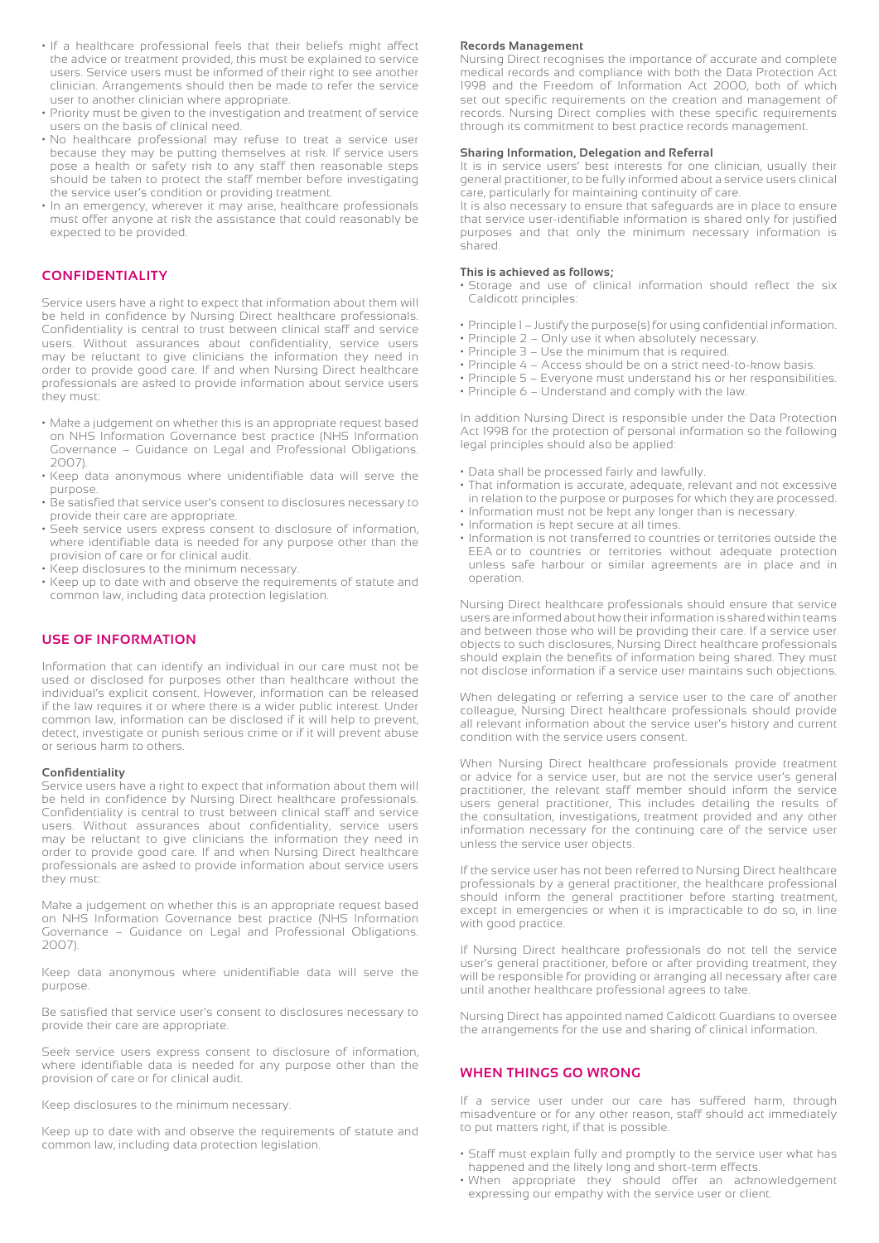- If a healthcare professional feels that their beliefs might affect the advice or treatment provided, this must be explained to service users. Service users must be informed of their right to see another clinician. Arrangements should then be made to refer the service user to another clinician where appropriate.
- Priority must be given to the investigation and treatment of service users on the basis of clinical need.
- No healthcare professional may refuse to treat a service user because they may be putting themselves at risk. If service users pose a health or safety risk to any staff then reasonable steps should be taken to protect the staff member before investigating the service user's condition or providing treatment.
- In an emergency, wherever it may arise, healthcare professionals must offer anyone at risk the assistance that could reasonably be expected to be provided.

#### **CONFIDENTIALITY**

Service users have a right to expect that information about them will be held in confidence by Nursing Direct healthcare professionals. Confidentiality is central to trust between clinical staff and service users. Without assurances about confidentiality, service users may be reluctant to give clinicians the information they need in order to provide good care. If and when Nursing Direct healthcare professionals are asked to provide information about service users they must:

- Make a judgement on whether this is an appropriate request based on NHS Information Governance best practice (NHS Information Governance – Guidance on Legal and Professional Obligations. 2007).
- Keep data anonymous where unidentifiable data will serve the purpose.
- Be satisfied that service user's consent to disclosures necessary to provide their care are appropriate.
- Seek service users express consent to disclosure of information, where identifiable data is needed for any purpose other than the provision of care or for clinical audit.
- Keep disclosures to the minimum necessary.
- Keep up to date with and observe the requirements of statute and common law, including data protection legislation.

#### **USE OF INFORMATION**

Information that can identify an individual in our care must not be used or disclosed for purposes other than healthcare without the individual's explicit consent. However, information can be released if the law requires it or where there is a wider public interest. Under common law, information can be disclosed if it will help to prevent, detect, investigate or punish serious crime or if it will prevent abuse or serious harm to others.

#### **Confidentiality**

Service users have a right to expect that information about them will be held in confidence by Nursing Direct healthcare professionals. Confidentiality is central to trust between clinical staff and service users. Without assurances about confidentiality, service users may be reluctant to give clinicians the information they need in order to provide good care. If and when Nursing Direct healthcare professionals are asked to provide information about service users they must:

Make a judgement on whether this is an appropriate request based on NHS Information Governance best practice (NHS Information Governance – Guidance on Legal and Professional Obligations. 2007).

Keep data anonymous where unidentifiable data will serve the purpose.

Be satisfied that service user's consent to disclosures necessary to provide their care are appropriate.

Seek service users express consent to disclosure of information, where identifiable data is needed for any purpose other than the provision of care or for clinical audit.

Keep disclosures to the minimum necessary.

Keep up to date with and observe the requirements of statute and common law, including data protection legislation.

#### **Records Management**

Nursing Direct recognises the importance of accurate and complete medical records and compliance with both the Data Protection Act 1998 and the Freedom of Information Act 2000, both of which set out specific requirements on the creation and management of records. Nursing Direct complies with these specific requirements through its commitment to best practice records management.

#### **Sharing Information, Delegation and Referral**

It is in service users' best interests for one clinician, usually their general practitioner, to be fully informed about a service users clinical care, particularly for maintaining continuity of care.

It is also necessary to ensure that safeguards are in place to ensure that service user-identifiable information is shared only for justified purposes and that only the minimum necessary information is shared.

#### **This is achieved as follows;**

- Storage and use of clinical information should reflect the six Caldicott principles:
- Principle 1 Justify the purpose(s) for using confidential information.
- Principle 2 Only use it when absolutely necessary.
- Principle 3 Use the minimum that is required.
- Principle 4 Access should be on a strict need-to-know basis.
- Principle 5 Everyone must understand his or her responsibilities.
- Principle 6 Understand and comply with the law.

In addition Nursing Direct is responsible under the Data Protection Act 1998 for the protection of personal information so the following legal principles should also be applied:

- Data shall be processed fairly and lawfully.
- That information is accurate, adequate, relevant and not excessive in relation to the purpose or purposes for which they are processed.
- Information must not be kept any longer than is necessary.
- Information is kept secure at all times.
- Information is not transferred to countries or territories outside the EEA or to countries or territories without adequate protection unless safe harbour or similar agreements are in place and in operation.

Nursing Direct healthcare professionals should ensure that service users are informed about how their information is shared within teams and between those who will be providing their care. If a service user objects to such disclosures, Nursing Direct healthcare professionals should explain the benefits of information being shared. They must not disclose information if a service user maintains such objections.

When delegating or referring a service user to the care of another colleague, Nursing Direct healthcare professionals should provide all relevant information about the service user's history and current condition with the service users consent.

When Nursing Direct healthcare professionals provide treatment or advice for a service user, but are not the service user's general practitioner, the relevant staff member should inform the service users general practitioner, This includes detailing the results of the consultation, investigations, treatment provided and any other information necessary for the continuing care of the service user unless the service user objects.

If the service user has not been referred to Nursing Direct healthcare professionals by a general practitioner, the healthcare professional should inform the general practitioner before starting treatment, except in emergencies or when it is impracticable to do so, in line with good practice.

If Nursing Direct healthcare professionals do not tell the service user's general practitioner, before or after providing treatment, they will be responsible for providing or arranging all necessary after care until another healthcare professional agrees to take.

Nursing Direct has appointed named Caldicott Guardians to oversee the arrangements for the use and sharing of clinical information.

#### **WHEN THINGS GO WRONG**

If a service user under our care has suffered harm, through misadventure or for any other reason, staff should act immediately to put matters right, if that is possible.

- Staff must explain fully and promptly to the service user what has happened and the likely long and short-term effects.
- When appropriate they should offer an acknowledgement expressing our empathy with the service user or client.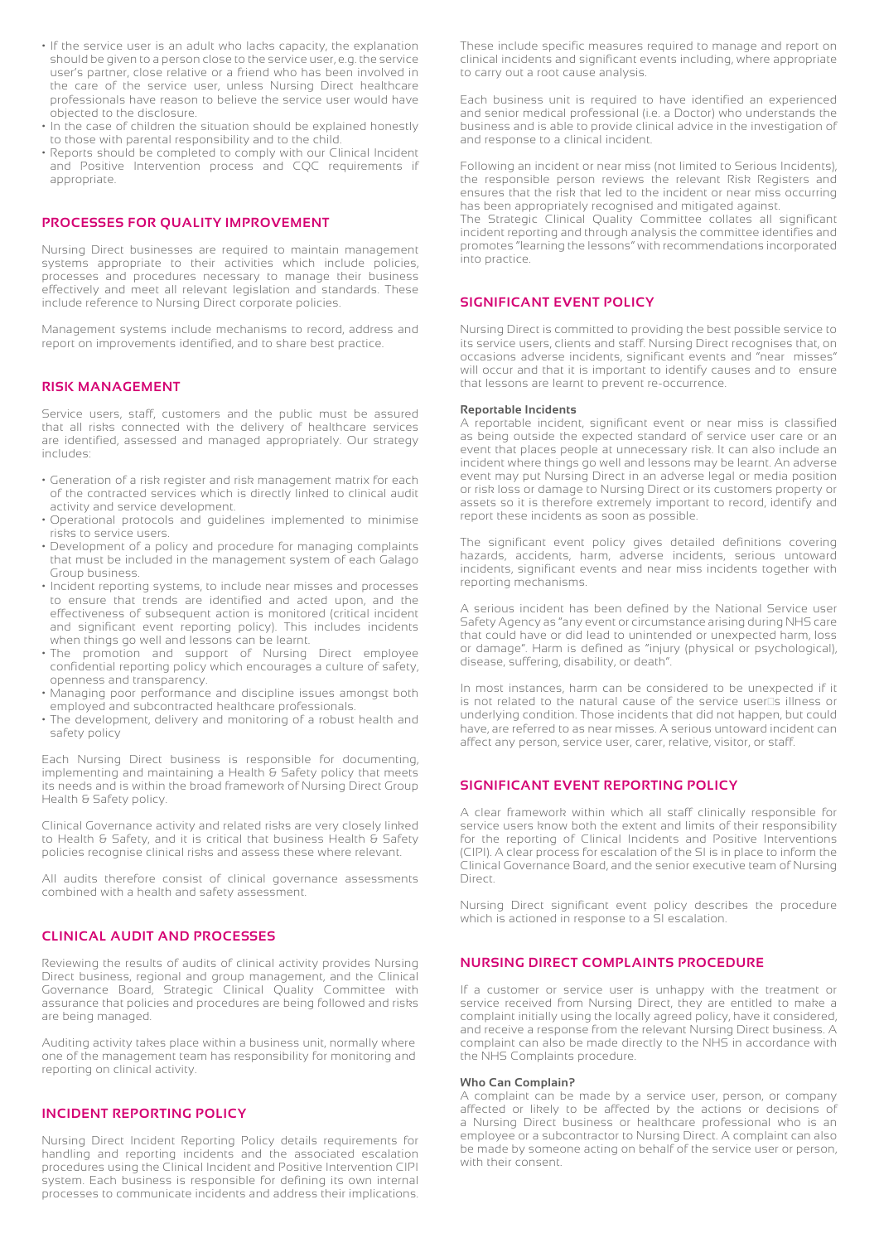- If the service user is an adult who lacks capacity, the explanation should be given to a person close to the service user, e.g. the service user's partner, close relative or a friend who has been involved in the care of the service user, unless Nursing Direct healthcare professionals have reason to believe the service user would have objected to the disclosure.
- In the case of children the situation should be explained honestly to those with parental responsibility and to the child.
- Reports should be completed to comply with our Clinical Incident and Positive Intervention process and CQC requirements if appropriate.

#### **PROCESSES FOR QUALITY IMPROVEMENT**

Nursing Direct businesses are required to maintain management systems appropriate to their activities which include policies, processes and procedures necessary to manage their business effectively and meet all relevant legislation and standards. These include reference to Nursing Direct corporate policies.

Management systems include mechanisms to record, address and report on improvements identified, and to share best practice.

#### **RISK MANAGEMENT**

Service users, staff, customers and the public must be assured that all risks connected with the delivery of healthcare services are identified, assessed and managed appropriately. Our strategy includes:

- Generation of a risk register and risk management matrix for each of the contracted services which is directly linked to clinical audit activity and service development.
- Operational protocols and guidelines implemented to minimise risks to service users.
- Development of a policy and procedure for managing complaints that must be included in the management system of each Galago Group business.
- Incident reporting systems, to include near misses and processes to ensure that trends are identified and acted upon, and the effectiveness of subsequent action is monitored (critical incident and significant event reporting policy). This includes incidents when things go well and lessons can be learnt.
- The promotion and support of Nursing Direct employee confidential reporting policy which encourages a culture of safety, openness and transparency.
- Managing poor performance and discipline issues amongst both employed and subcontracted healthcare professionals.
- The development, delivery and monitoring of a robust health and safety policy

Each Nursing Direct business is responsible for documenting, implementing and maintaining a Health & Safety policy that meets its needs and is within the broad framework of Nursing Direct Group Health & Safety policy.

Clinical Governance activity and related risks are very closely linked to Health & Safety, and it is critical that business Health & Safety policies recognise clinical risks and assess these where relevant.

All audits therefore consist of clinical governance assessments combined with a health and safety assessment.

#### **CLINICAL AUDIT AND PROCESSES**

Reviewing the results of audits of clinical activity provides Nursing Direct business, regional and group management, and the Clinical Governance Board, Strategic Clinical Quality Committee with assurance that policies and procedures are being followed and risks are being managed.

Auditing activity takes place within a business unit, normally where one of the management team has responsibility for monitoring and reporting on clinical activity.

#### **INCIDENT REPORTING POLICY**

Nursing Direct Incident Reporting Policy details requirements for handling and reporting incidents and the associated escalation procedures using the Clinical Incident and Positive Intervention CIPI system. Each business is responsible for defining its own internal processes to communicate incidents and address their implications.

These include specific measures required to manage and report on clinical incidents and significant events including, where appropriate to carry out a root cause analysis.

Each business unit is required to have identified an experienced and senior medical professional (i.e. a Doctor) who understands the business and is able to provide clinical advice in the investigation of and response to a clinical incident.

Following an incident or near miss (not limited to Serious Incidents), the responsible person reviews the relevant Risk Registers and ensures that the risk that led to the incident or near miss occurring has been appropriately recognised and mitigated against.

The Strategic Clinical Quality Committee collates all significant incident reporting and through analysis the committee identifies and promotes "learning the lessons" with recommendations incorporated into practice.

#### **SIGNIFICANT EVENT POLICY**

Nursing Direct is committed to providing the best possible service to its service users, clients and staff. Nursing Direct recognises that, on occasions adverse incidents, significant events and "near misses" will occur and that it is important to identify causes and to ensure that lessons are learnt to prevent re-occurrence.

#### **Reportable Incidents**

A reportable incident, significant event or near miss is classified as being outside the expected standard of service user care or an event that places people at unnecessary risk. It can also include an incident where things go well and lessons may be learnt. An adverse event may put Nursing Direct in an adverse legal or media position or risk loss or damage to Nursing Direct or its customers property or assets so it is therefore extremely important to record, identify and report these incidents as soon as possible.

The significant event policy gives detailed definitions covering hazards, accidents, harm, adverse incidents, serious untoward incidents, significant events and near miss incidents together with reporting mechanisms.

A serious incident has been defined by the National Service user Safety Agency as "any event or circumstance arising during NHS care that could have or did lead to unintended or unexpected harm, loss or damage". Harm is defined as "injury (physical or psychological), disease, suffering, disability, or death".

In most instances, harm can be considered to be unexpected if it is not related to the natural cause of the service user  $\frac{1}{10}$  illness or underlying condition. Those incidents that did not happen, but could have, are referred to as near misses. A serious untoward incident can affect any person, service user, carer, relative, visitor, or staff.

#### **SIGNIFICANT EVENT REPORTING POLICY**

A clear framework within which all staff clinically responsible for service users know both the extent and limits of their responsibility for the reporting of Clinical Incidents and Positive Interventions (CIPI). A clear process for escalation of the SI is in place to inform the Clinical Governance Board, and the senior executive team of Nursing Direct.

Nursing Direct significant event policy describes the procedure which is actioned in response to a SI escalation.

#### **NURSING DIRECT COMPLAINTS PROCEDURE**

If a customer or service user is unhappy with the treatment or service received from Nursing Direct, they are entitled to make a complaint initially using the locally agreed policy, have it considered, and receive a response from the relevant Nursing Direct business. A complaint can also be made directly to the NHS in accordance with the NHS Complaints procedure.

#### **Who Can Complain?**

A complaint can be made by a service user, person, or company affected or likely to be affected by the actions or decisions of a Nursing Direct business or healthcare professional who is an employee or a subcontractor to Nursing Direct. A complaint can also be made by someone acting on behalf of the service user or person, with their consent.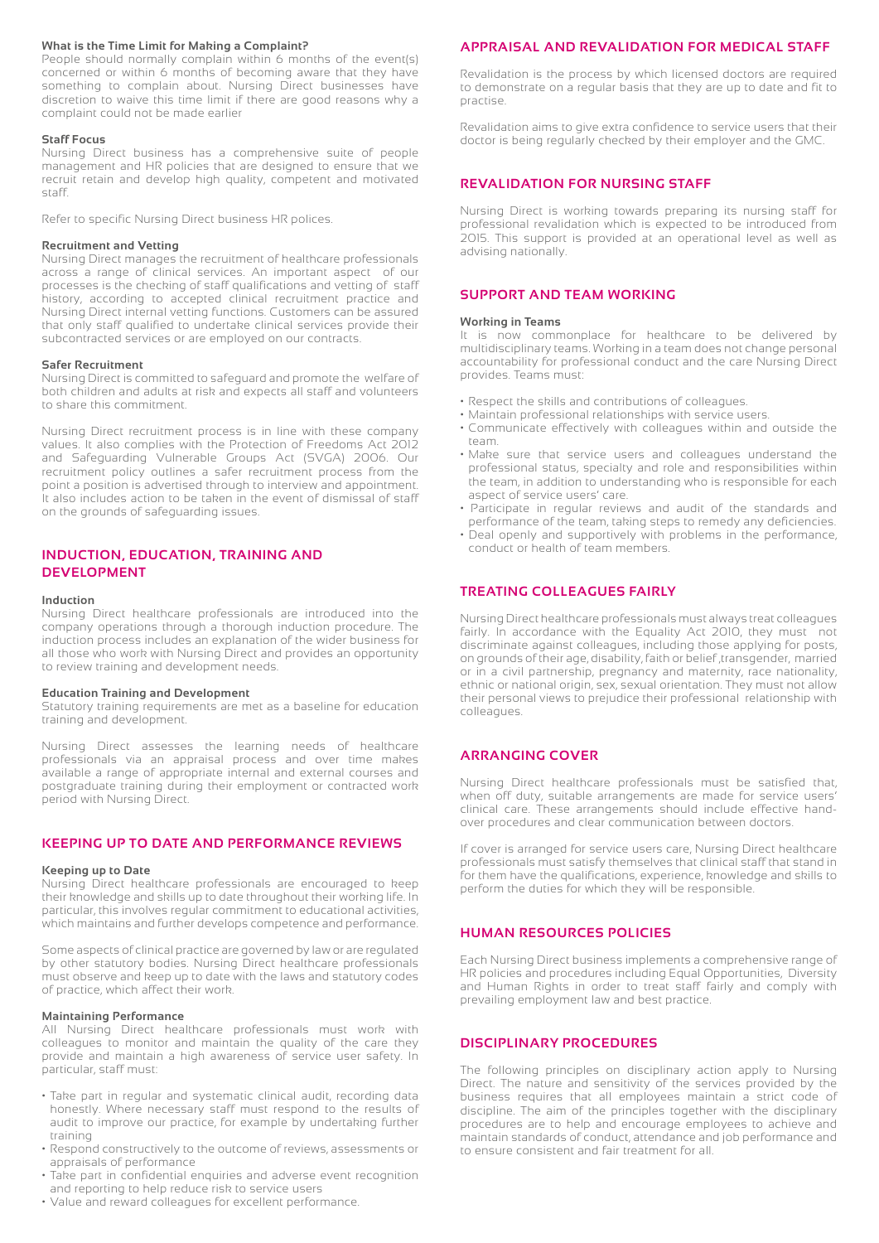#### **What is the Time Limit for Making a Complaint?**

People should normally complain within 6 months of the event(s) concerned or within 6 months of becoming aware that they have something to complain about. Nursing Direct businesses have discretion to waive this time limit if there are good reasons why a complaint could not be made earlier

#### **Staff Focus**

Nursing Direct business has a comprehensive suite of people management and HR policies that are designed to ensure that we recruit retain and develop high quality, competent and motivated staff.

Refer to specific Nursing Direct business HR polices.

#### **Recruitment and Vetting**

Nursing Direct manages the recruitment of healthcare professionals across a range of clinical services. An important aspect of our processes is the checking of staff qualifications and vetting of staff history, according to accepted clinical recruitment practice and Nursing Direct internal vetting functions. Customers can be assured that only staff qualified to undertake clinical services provide their subcontracted services or are employed on our contracts.

#### **Safer Recruitment**

Nursing Direct is committed to safeguard and promote the welfare of both children and adults at risk and expects all staff and volunteers to share this commitment.

Nursing Direct recruitment process is in line with these company values. It also complies with the Protection of Freedoms Act 2012 and Safeguarding Vulnerable Groups Act (SVGA) 2006. Our recruitment policy outlines a safer recruitment process from the point a position is advertised through to interview and appointment. It also includes action to be taken in the event of dismissal of staff on the grounds of safeguarding issues.

#### **INDUCTION, EDUCATION, TRAINING AND DEVELOPMENT**

#### **Induction**

Nursing Direct healthcare professionals are introduced into the company operations through a thorough induction procedure. The induction process includes an explanation of the wider business for all those who work with Nursing Direct and provides an opportunity to review training and development needs.

#### **Education Training and Development**

Statutory training requirements are met as a baseline for education training and development.

Nursing Direct assesses the learning needs of healthcare professionals via an appraisal process and over time makes available a range of appropriate internal and external courses and postgraduate training during their employment or contracted work period with Nursing Direct.

#### **KEEPING UP TO DATE AND PERFORMANCE REVIEWS**

#### **Keeping up to Date**

Nursing Direct healthcare professionals are encouraged to keep their knowledge and skills up to date throughout their working life. In particular, this involves regular commitment to educational activities, which maintains and further develops competence and performance.

Some aspects of clinical practice are governed by law or are regulated by other statutory bodies. Nursing Direct healthcare professionals must observe and keep up to date with the laws and statutory codes of practice, which affect their work.

#### **Maintaining Performance**

All Nursing Direct healthcare professionals must work with colleagues to monitor and maintain the quality of the care they provide and maintain a high awareness of service user safety. In particular, staff must:

- Take part in regular and systematic clinical audit, recording data honestly. Where necessary staff must respond to the results of audit to improve our practice, for example by undertaking further training
- Respond constructively to the outcome of reviews, assessments or appraisals of performance
- Take part in confidential enquiries and adverse event recognition and reporting to help reduce risk to service users
- Value and reward colleagues for excellent performance.

#### **APPRAISAL AND REVALIDATION FOR MEDICAL STAFF**

Revalidation is the process by which licensed doctors are required to demonstrate on a regular basis that they are up to date and fit to practise.

Revalidation aims to give extra confidence to service users that their doctor is being regularly checked by their employer and the GMC.

#### **REVALIDATION FOR NURSING STAFF**

Nursing Direct is working towards preparing its nursing staff for professional revalidation which is expected to be introduced from 2015. This support is provided at an operational level as well as advising nationally.

#### **SUPPORT AND TEAM WORKING**

#### **Working in Teams**

It is now commonplace for healthcare to be delivered by multidisciplinary teams. Working in a team does not change personal accountability for professional conduct and the care Nursing Direct provides. Teams must:

- Respect the skills and contributions of colleagues.
- Maintain professional relationships with service users.
- Communicate effectively with colleagues within and outside the team.
- Make sure that service users and colleagues understand the professional status, specialty and role and responsibilities within the team, in addition to understanding who is responsible for each aspect of service users' care.
- Participate in regular reviews and audit of the standards and performance of the team, taking steps to remedy any deficiencies.
- Deal openly and supportively with problems in the performance, conduct or health of team members.

#### **TREATING COLLEAGUES FAIRLY**

Nursing Direct healthcare professionals must always treat colleagues fairly. In accordance with the Equality Act 2010, they must not discriminate against colleagues, including those applying for posts, on grounds of their age, disability, faith or belief ,transgender, married or in a civil partnership, pregnancy and maternity, race nationality, ethnic or national origin, sex, sexual orientation. They must not allow their personal views to prejudice their professional relationship with colleagues.

#### **ARRANGING COVER**

Nursing Direct healthcare professionals must be satisfied that, when off duty, suitable arrangements are made for service users' clinical care. These arrangements should include effective handover procedures and clear communication between doctors.

If cover is arranged for service users care, Nursing Direct healthcare professionals must satisfy themselves that clinical staff that stand in for them have the qualifications, experience, knowledge and skills to perform the duties for which they will be responsible.

#### **HUMAN RESOURCES POLICIES**

Each Nursing Direct business implements a comprehensive range of HR policies and procedures including Equal Opportunities, Diversity and Human Rights in order to treat staff fairly and comply with prevailing employment law and best practice.

#### **DISCIPLINARY PROCEDURES**

The following principles on disciplinary action apply to Nursing Direct. The nature and sensitivity of the services provided by the business requires that all employees maintain a strict code of discipline. The aim of the principles together with the disciplinary procedures are to help and encourage employees to achieve and maintain standards of conduct, attendance and job performance and to ensure consistent and fair treatment for all.